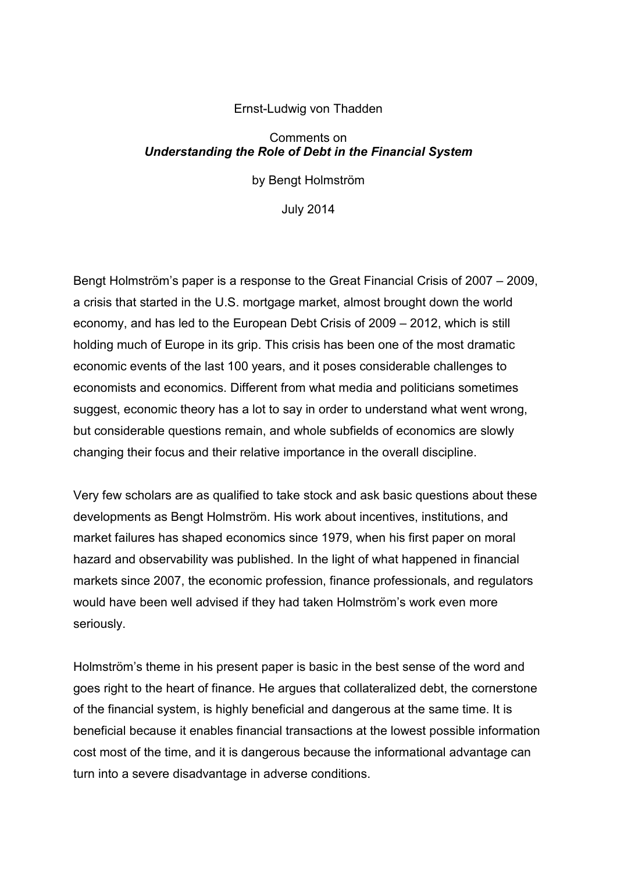## Ernst-Ludwig von Thadden

## Comments on *Understanding the Role of Debt in the Financial System*

by Bengt Holmström

July 2014

Bengt Holmström's paper is a response to the Great Financial Crisis of 2007 – 2009, a crisis that started in the U.S. mortgage market, almost brought down the world economy, and has led to the European Debt Crisis of 2009 – 2012, which is still holding much of Europe in its grip. This crisis has been one of the most dramatic economic events of the last 100 years, and it poses considerable challenges to economists and economics. Different from what media and politicians sometimes suggest, economic theory has a lot to say in order to understand what went wrong, but considerable questions remain, and whole subfields of economics are slowly changing their focus and their relative importance in the overall discipline.

Very few scholars are as qualified to take stock and ask basic questions about these developments as Bengt Holmström. His work about incentives, institutions, and market failures has shaped economics since 1979, when his first paper on moral hazard and observability was published. In the light of what happened in financial markets since 2007, the economic profession, finance professionals, and regulators would have been well advised if they had taken Holmström's work even more seriously.

Holmström's theme in his present paper is basic in the best sense of the word and goes right to the heart of finance. He argues that collateralized debt, the cornerstone of the financial system, is highly beneficial and dangerous at the same time. It is beneficial because it enables financial transactions at the lowest possible information cost most of the time, and it is dangerous because the informational advantage can turn into a severe disadvantage in adverse conditions.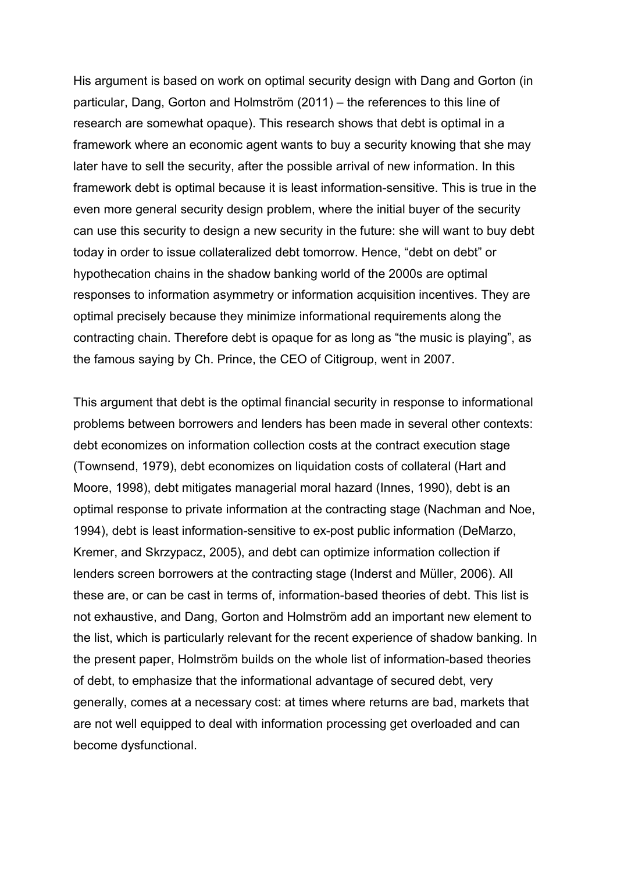His argument is based on work on optimal security design with Dang and Gorton (in particular, Dang, Gorton and Holmström (2011) – the references to this line of research are somewhat opaque). This research shows that debt is optimal in a framework where an economic agent wants to buy a security knowing that she may later have to sell the security, after the possible arrival of new information. In this framework debt is optimal because it is least information-sensitive. This is true in the even more general security design problem, where the initial buyer of the security can use this security to design a new security in the future: she will want to buy debt today in order to issue collateralized debt tomorrow. Hence, "debt on debt" or hypothecation chains in the shadow banking world of the 2000s are optimal responses to information asymmetry or information acquisition incentives. They are optimal precisely because they minimize informational requirements along the contracting chain. Therefore debt is opaque for as long as "the music is playing", as the famous saying by Ch. Prince, the CEO of Citigroup, went in 2007.

This argument that debt is the optimal financial security in response to informational problems between borrowers and lenders has been made in several other contexts: debt economizes on information collection costs at the contract execution stage (Townsend, 1979), debt economizes on liquidation costs of collateral (Hart and Moore, 1998), debt mitigates managerial moral hazard (Innes, 1990), debt is an optimal response to private information at the contracting stage (Nachman and Noe, 1994), debt is least information-sensitive to ex-post public information (DeMarzo, Kremer, and Skrzypacz, 2005), and debt can optimize information collection if lenders screen borrowers at the contracting stage (Inderst and Müller, 2006). All these are, or can be cast in terms of, information-based theories of debt. This list is not exhaustive, and Dang, Gorton and Holmström add an important new element to the list, which is particularly relevant for the recent experience of shadow banking. In the present paper, Holmström builds on the whole list of information-based theories of debt, to emphasize that the informational advantage of secured debt, very generally, comes at a necessary cost: at times where returns are bad, markets that are not well equipped to deal with information processing get overloaded and can become dysfunctional.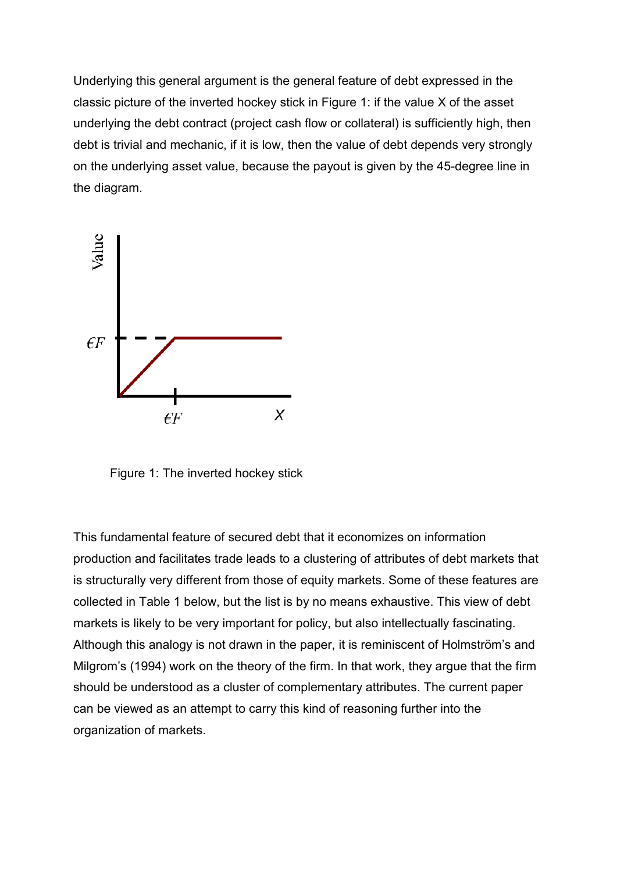Underlying this general argument is the general feature of debt expressed in the classic picture of the inverted hockey stick in Figure 1: if the value X of the asset underlying the debt contract (project cash flow or collateral) is sufficiently high, then debt is trivial and mechanic, if it is low, then the value of debt depends very strongly on the underlying asset value, because the payout is given by the 45-degree line in the diagram.



Figure 1: The inverted hockey stick

This fundamental feature of secured debt that it economizes on information production and facilitates trade leads to a clustering of attributes of debt markets that is structurally very different from those of equity markets. Some of these features are collected in Table 1 below, but the list is by no means exhaustive. This view of debt markets is likely to be very important for policy, but also intellectually fascinating. Although this analogy is not drawn in the paper, it is reminiscent of Holmström's and Milgrom's (1994) work on the theory of the firm. In that work, they argue that the firm should be understood as a cluster of complementary attributes. The current paper can be viewed as an attempt to carry this kind of reasoning further into the organization of markets.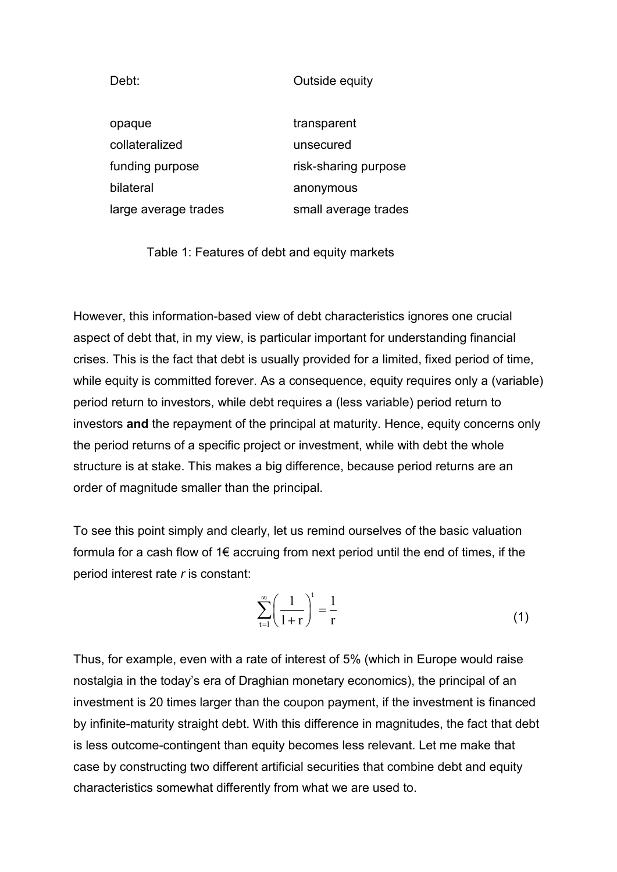Debt: Outside equity

| opaque               | transparent          |
|----------------------|----------------------|
| collateralized       | unsecured            |
| funding purpose      | risk-sharing purpose |
| bilateral            | anonymous            |
| large average trades | small average trades |

Table 1: Features of debt and equity markets

However, this information-based view of debt characteristics ignores one crucial aspect of debt that, in my view, is particular important for understanding financial crises. This is the fact that debt is usually provided for a limited, fixed period of time, while equity is committed forever. As a consequence, equity requires only a (variable) period return to investors, while debt requires a (less variable) period return to investors **and** the repayment of the principal at maturity. Hence, equity concerns only the period returns of a specific project or investment, while with debt the whole structure is at stake. This makes a big difference, because period returns are an order of magnitude smaller than the principal.

To see this point simply and clearly, let us remind ourselves of the basic valuation formula for a cash flow of 1€ accruing from next period until the end of times, if the period interest rate *r* is constant:

$$
\sum_{t=1}^{\infty} \left( \frac{1}{1+r} \right)^t = \frac{1}{r}
$$
 (1)

Thus, for example, even with a rate of interest of 5% (which in Europe would raise nostalgia in the today's era of Draghian monetary economics), the principal of an investment is 20 times larger than the coupon payment, if the investment is financed by infinite-maturity straight debt. With this difference in magnitudes, the fact that debt is less outcome-contingent than equity becomes less relevant. Let me make that case by constructing two different artificial securities that combine debt and equity characteristics somewhat differently from what we are used to.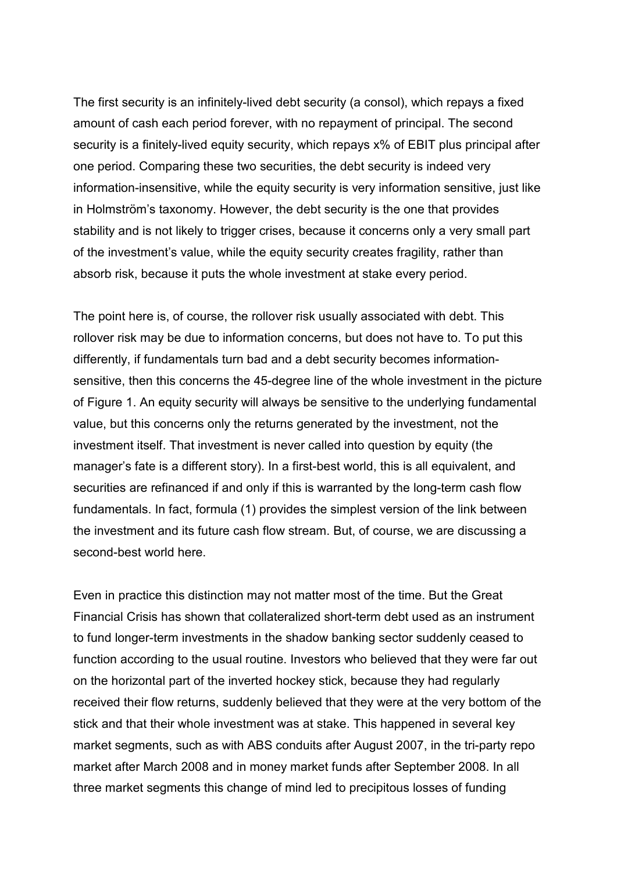The first security is an infinitely-lived debt security (a consol), which repays a fixed amount of cash each period forever, with no repayment of principal. The second security is a finitely-lived equity security, which repays x% of EBIT plus principal after one period. Comparing these two securities, the debt security is indeed very information-insensitive, while the equity security is very information sensitive, just like in Holmström's taxonomy. However, the debt security is the one that provides stability and is not likely to trigger crises, because it concerns only a very small part of the investment's value, while the equity security creates fragility, rather than absorb risk, because it puts the whole investment at stake every period.

The point here is, of course, the rollover risk usually associated with debt. This rollover risk may be due to information concerns, but does not have to. To put this differently, if fundamentals turn bad and a debt security becomes informationsensitive, then this concerns the 45-degree line of the whole investment in the picture of Figure 1. An equity security will always be sensitive to the underlying fundamental value, but this concerns only the returns generated by the investment, not the investment itself. That investment is never called into question by equity (the manager's fate is a different story). In a first-best world, this is all equivalent, and securities are refinanced if and only if this is warranted by the long-term cash flow fundamentals. In fact, formula (1) provides the simplest version of the link between the investment and its future cash flow stream. But, of course, we are discussing a second-best world here.

Even in practice this distinction may not matter most of the time. But the Great Financial Crisis has shown that collateralized short-term debt used as an instrument to fund longer-term investments in the shadow banking sector suddenly ceased to function according to the usual routine. Investors who believed that they were far out on the horizontal part of the inverted hockey stick, because they had regularly received their flow returns, suddenly believed that they were at the very bottom of the stick and that their whole investment was at stake. This happened in several key market segments, such as with ABS conduits after August 2007, in the tri-party repo market after March 2008 and in money market funds after September 2008. In all three market segments this change of mind led to precipitous losses of funding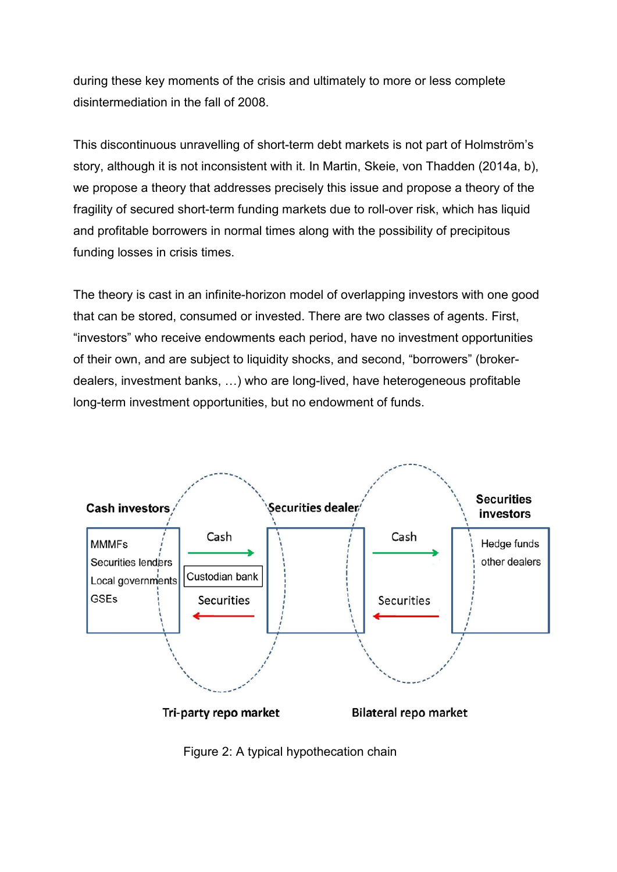during these key moments of the crisis and ultimately to more or less complete disintermediation in the fall of 2008.

This discontinuous unravelling of short-term debt markets is not part of Holmström's story, although it is not inconsistent with it. In Martin, Skeie, von Thadden (2014a, b), we propose a theory that addresses precisely this issue and propose a theory of the fragility of secured short-term funding markets due to roll-over risk, which has liquid and profitable borrowers in normal times along with the possibility of precipitous funding losses in crisis times.

The theory is cast in an infinite-horizon model of overlapping investors with one good that can be stored, consumed or invested. There are two classes of agents. First, "investors" who receive endowments each period, have no investment opportunities of their own, and are subject to liquidity shocks, and second, "borrowers" (brokerdealers, investment banks, …) who are long-lived, have heterogeneous profitable long-term investment opportunities, but no endowment of funds.



Figure 2: A typical hypothecation chain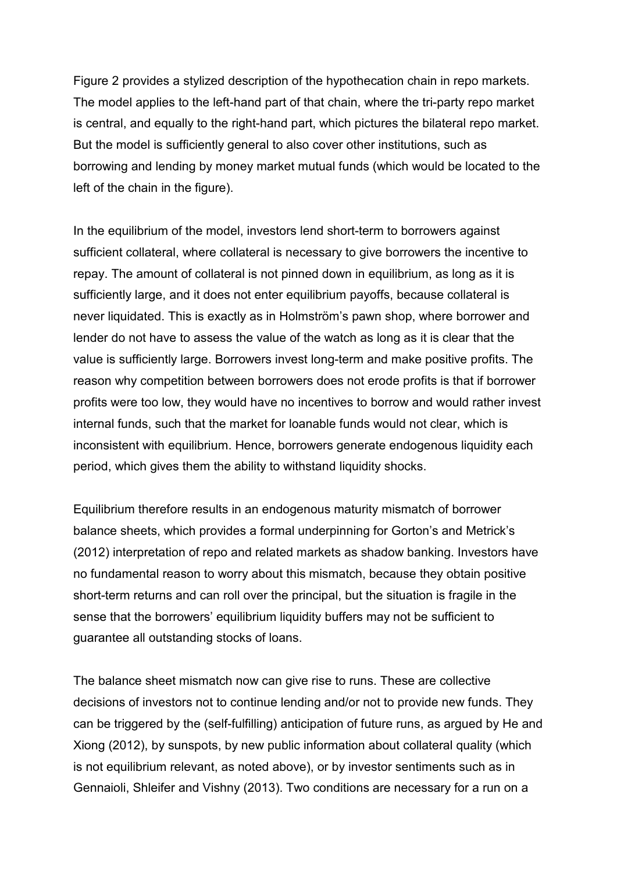Figure 2 provides a stylized description of the hypothecation chain in repo markets. The model applies to the left-hand part of that chain, where the tri-party repo market is central, and equally to the right-hand part, which pictures the bilateral repo market. But the model is sufficiently general to also cover other institutions, such as borrowing and lending by money market mutual funds (which would be located to the left of the chain in the figure).

In the equilibrium of the model, investors lend short-term to borrowers against sufficient collateral, where collateral is necessary to give borrowers the incentive to repay. The amount of collateral is not pinned down in equilibrium, as long as it is sufficiently large, and it does not enter equilibrium payoffs, because collateral is never liquidated. This is exactly as in Holmström's pawn shop, where borrower and lender do not have to assess the value of the watch as long as it is clear that the value is sufficiently large. Borrowers invest long-term and make positive profits. The reason why competition between borrowers does not erode profits is that if borrower profits were too low, they would have no incentives to borrow and would rather invest internal funds, such that the market for loanable funds would not clear, which is inconsistent with equilibrium. Hence, borrowers generate endogenous liquidity each period, which gives them the ability to withstand liquidity shocks.

Equilibrium therefore results in an endogenous maturity mismatch of borrower balance sheets, which provides a formal underpinning for Gorton's and Metrick's (2012) interpretation of repo and related markets as shadow banking. Investors have no fundamental reason to worry about this mismatch, because they obtain positive short-term returns and can roll over the principal, but the situation is fragile in the sense that the borrowers' equilibrium liquidity buffers may not be sufficient to guarantee all outstanding stocks of loans.

The balance sheet mismatch now can give rise to runs. These are collective decisions of investors not to continue lending and/or not to provide new funds. They can be triggered by the (self-fulfilling) anticipation of future runs, as argued by He and Xiong (2012), by sunspots, by new public information about collateral quality (which is not equilibrium relevant, as noted above), or by investor sentiments such as in Gennaioli, Shleifer and Vishny (2013). Two conditions are necessary for a run on a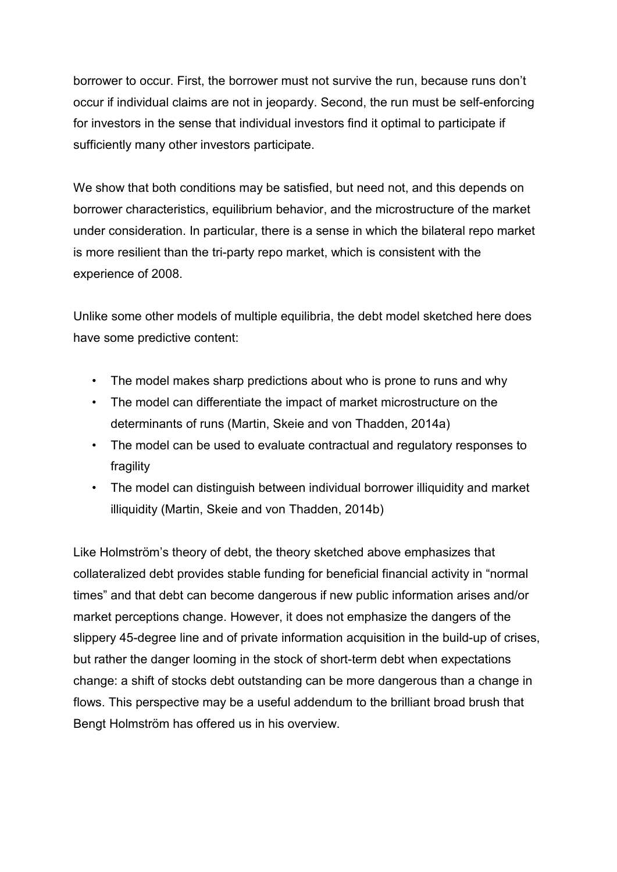borrower to occur. First, the borrower must not survive the run, because runs don't occur if individual claims are not in jeopardy. Second, the run must be self-enforcing for investors in the sense that individual investors find it optimal to participate if sufficiently many other investors participate.

We show that both conditions may be satisfied, but need not, and this depends on borrower characteristics, equilibrium behavior, and the microstructure of the market under consideration. In particular, there is a sense in which the bilateral repo market is more resilient than the tri-party repo market, which is consistent with the experience of 2008.

Unlike some other models of multiple equilibria, the debt model sketched here does have some predictive content:

- The model makes sharp predictions about who is prone to runs and why
- The model can differentiate the impact of market microstructure on the determinants of runs (Martin, Skeie and von Thadden, 2014a)
- The model can be used to evaluate contractual and regulatory responses to fragility
- The model can distinguish between individual borrower illiquidity and market illiquidity (Martin, Skeie and von Thadden, 2014b)

Like Holmström's theory of debt, the theory sketched above emphasizes that collateralized debt provides stable funding for beneficial financial activity in "normal times" and that debt can become dangerous if new public information arises and/or market perceptions change. However, it does not emphasize the dangers of the slippery 45-degree line and of private information acquisition in the build-up of crises, but rather the danger looming in the stock of short-term debt when expectations change: a shift of stocks debt outstanding can be more dangerous than a change in flows. This perspective may be a useful addendum to the brilliant broad brush that Bengt Holmström has offered us in his overview.